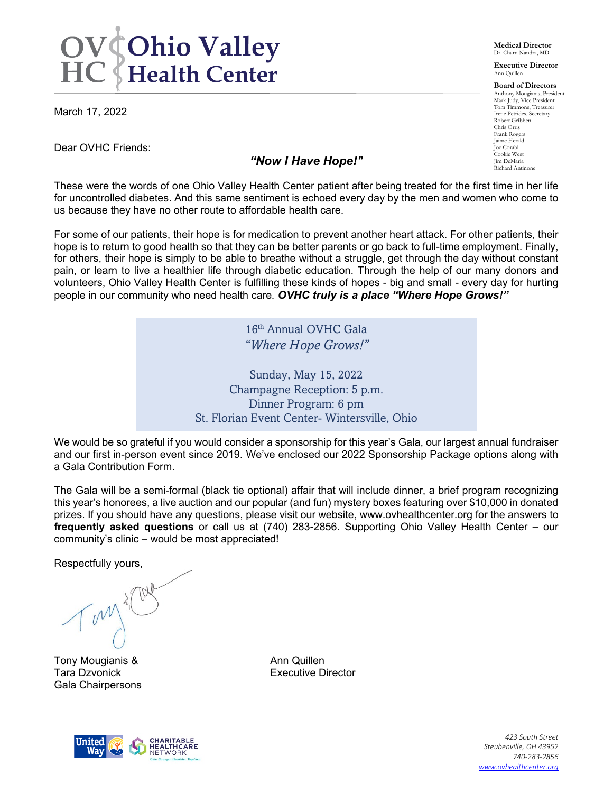# **OV Chio Valley<br>HC Health Center**

March 17, 2022

Dear OVHC Friends:

#### *"Now I Have Hope!"*

**Medical Director** Dr. Charn Nandra, MD

**Executive Director** Ann Quillen

**Board of Directors** Anthony Mougianis, President Mark Judy, Vice President Tom Timmons, Treasurer Irene Petrides, Secretary Robert Gribben Chris Orris Frank Rogers Jaime Herald Joe Corabi Cookie West Jim DeMaria Richard Antinone

These were the words of one Ohio Valley Health Center patient after being treated for the first time in her life for uncontrolled diabetes. And this same sentiment is echoed every day by the men and women who come to us because they have no other route to affordable health care.

For some of our patients, their hope is for medication to prevent another heart attack. For other patients, their hope is to return to good health so that they can be better parents or go back to full-time employment. Finally, for others, their hope is simply to be able to breathe without a struggle, get through the day without constant pain, or learn to live a healthier life through diabetic education. Through the help of our many donors and volunteers, Ohio Valley Health Center is fulfilling these kinds of hopes - big and small - every day for hurting people in our community who need health care*. OVHC truly is a place "Where Hope Grows!"*

> 16th Annual OVHC Gala *"Where Hope Grows!"*

Sunday, May 15, 2022 Champagne Reception: 5 p.m. Dinner Program: 6 pm St. Florian Event Center- Wintersville, Ohio

We would be so grateful if you would consider a sponsorship for this year's Gala, our largest annual fundraiser and our first in-person event since 2019. We've enclosed our 2022 Sponsorship Package options along with a Gala Contribution Form.

The Gala will be a semi-formal (black tie optional) affair that will include dinner, a brief program recognizing this year's honorees, a live auction and our popular (and fun) mystery boxes featuring over \$10,000 in donated prizes. If you should have any questions, please visit our website, [www.ovhealthcenter.org](http://www.ovhealthcenter.org/) for the answers to **frequently asked questions** or call us at (740) 283-2856. Supporting Ohio Valley Health Center – our community's clinic – would be most appreciated!

Respectfully yours,

Tony Mougianis & Ann Quillen Tara Dzvonick **Executive Director** Gala Chairpersons



*423 South Street Steubenville, OH 43952 740-283-2856 [www.ovhealthcenter.org](http://www.ovhealthcenter.org/)*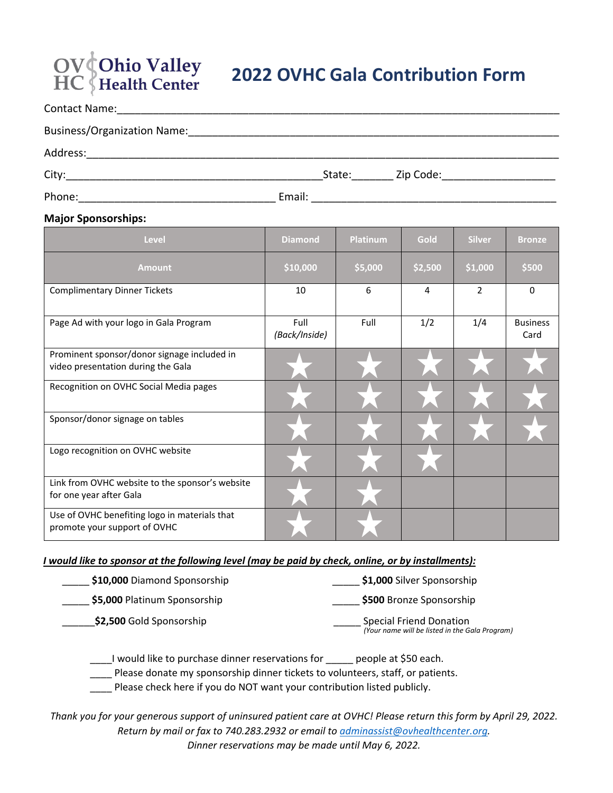## **OV** Ohio Valley<br>HC Health Center

### **2022 OVHC Gala Contribution Form**

| <b>Business/Organization Name:</b> |        |        |                              |
|------------------------------------|--------|--------|------------------------------|
| Address:                           |        |        |                              |
| City:                              |        | State: | Zip Code: __________________ |
| Phone:                             | Email: |        |                              |

#### **Major Sponsorships:**

| Level                                                                             | <b>Diamond</b>        | <b>Platinum</b> | Gold    | <b>Silver</b>  | <b>Bronze</b>           |
|-----------------------------------------------------------------------------------|-----------------------|-----------------|---------|----------------|-------------------------|
| <b>Amount</b>                                                                     | \$10,000              | \$5,000         | \$2,500 | \$1,000        | \$500                   |
| <b>Complimentary Dinner Tickets</b>                                               | 10                    | 6               | 4       | $\overline{2}$ | 0                       |
| Page Ad with your logo in Gala Program                                            | Full<br>(Back/Inside) | Full            | 1/2     | 1/4            | <b>Business</b><br>Card |
| Prominent sponsor/donor signage included in<br>video presentation during the Gala |                       |                 |         |                |                         |
| Recognition on OVHC Social Media pages                                            |                       |                 |         |                |                         |
| Sponsor/donor signage on tables                                                   |                       |                 |         |                |                         |
| Logo recognition on OVHC website                                                  |                       |                 |         |                |                         |
| Link from OVHC website to the sponsor's website<br>for one year after Gala        |                       |                 |         |                |                         |
| Use of OVHC benefiting logo in materials that<br>promote your support of OVHC     |                       |                 |         |                |                         |

#### *I would like to sponsor at the following level (may be paid by check, online, or by installments):*

| \$10,000 Diamond Sponsorship | \$1,000 Silver Sponsorship                                                       |
|------------------------------|----------------------------------------------------------------------------------|
| \$5,000 Platinum Sponsorship | \$500 Bronze Sponsorship                                                         |
| \$2,500 Gold Sponsorship     | <b>Special Friend Donation</b><br>(Your name will be listed in the Gala Program) |

\_\_\_\_I would like to purchase dinner reservations for \_\_\_\_\_ people at \$50 each.

\_\_\_\_ Please donate my sponsorship dinner tickets to volunteers, staff, or patients.

\_\_\_\_ Please check here if you do NOT want your contribution listed publicly.

*Thank you for your generous support of uninsured patient care at OVHC! Please return this form by April 29, 2022. Return by mail or fax to 740.283.2932 or email to [adminassist@ovhealthcenter.org.](mailto:adminassist@ovhealthcenter.org) Dinner reservations may be made until May 6, 2022.*